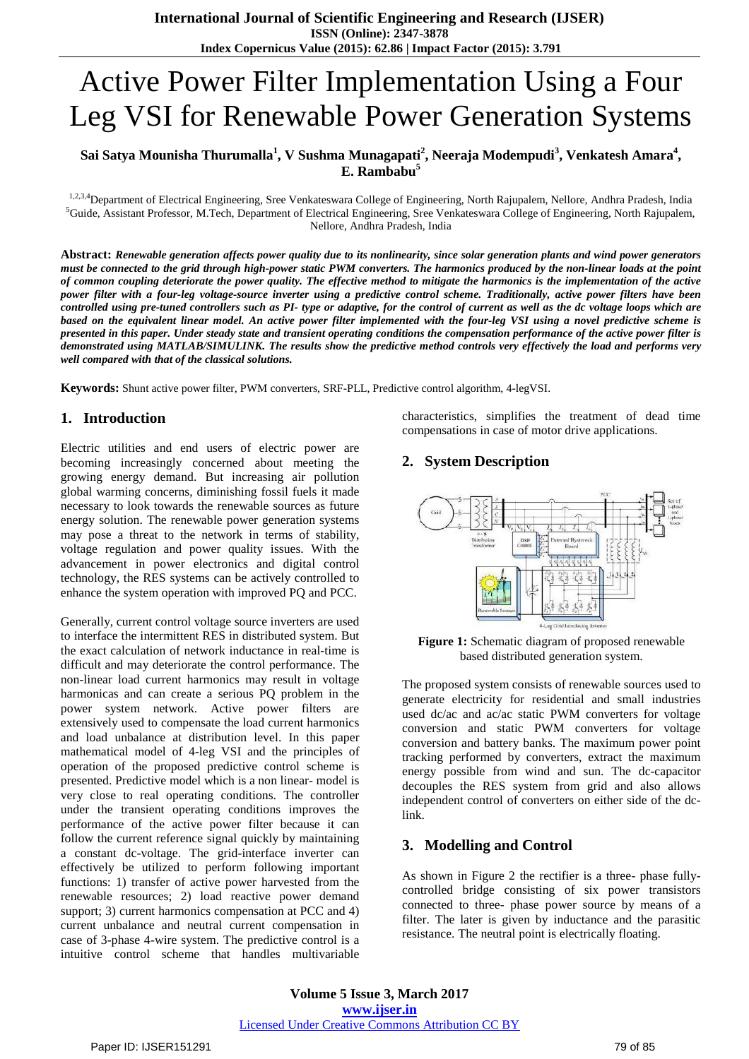# Active Power Filter Implementation Using a Four Leg VSI for Renewable Power Generation Systems

## **Sai Satya Mounisha Thurumalla<sup>1</sup> , V Sushma Munagapati<sup>2</sup> , Neeraja Modempudi<sup>3</sup> , Venkatesh Amara<sup>4</sup> , E. Rambabu<sup>5</sup>**

1,2,3,4 Department of Electrical Engineering, Sree Venkateswara College of Engineering, North Rajupalem, Nellore, Andhra Pradesh, India <sup>5</sup>Guide, Assistant Professor, M.Tech, Department of Electrical Engineering, Sree Venkateswara College of Engineering, North Rajupalem, Nellore, Andhra Pradesh, India

Abstract: Renewable generation affects power quality due to its nonlinearity, since solar generation plants and wind power generators must be connected to the grid through high-power static PWM converters. The harmonics produced by the non-linear loads at the point of common coupling deteriorate the power quality. The effective method to mitigate the harmonics is the implementation of the active power filter with a four-leg voltage-source inverter using a predictive control scheme. Traditionally, active power filters have been controlled using pre-tuned controllers such as PI- type or adaptive, for the control of current as well as the dc voltage loops which are based on the equivalent linear model. An active power filter implemented with the four-leg VSI using a novel predictive scheme is presented in this paper. Under steady state and transient operating conditions the compensation performance of the active power filter is demonstrated using MATLAB/SIMULINK. The results show the predictive method controls very effectively the load and performs very *well compared with that of the classical solutions.*

**Keywords:** Shunt active power filter, PWM converters, SRF-PLL, Predictive control algorithm, 4-legVSI.

# **1. Introduction**

Electric utilities and end users of electric power are becoming increasingly concerned about meeting the growing energy demand. But increasing air pollution global warming concerns, diminishing fossil fuels it made necessary to look towards the renewable sources as future energy solution. The renewable power generation systems may pose a threat to the network in terms of stability, voltage regulation and power quality issues. With the advancement in power electronics and digital control technology, the RES systems can be actively controlled to enhance the system operation with improved PQ and PCC.

Generally, current control voltage source inverters are used to interface the intermittent RES in distributed system. But the exact calculation of network inductance in real-time is difficult and may deteriorate the control performance. The non-linear load current harmonics may result in voltage harmonicas and can create a serious PQ problem in the power system network. Active power filters are extensively used to compensate the load current harmonics and load unbalance at distribution level. In this paper mathematical model of 4-leg VSI and the principles of operation of the proposed predictive control scheme is presented. Predictive model which is a non linear- model is very close to real operating conditions. The controller under the transient operating conditions improves the performance of the active power filter because it can follow the current reference signal quickly by maintaining a constant dc-voltage. The grid-interface inverter can effectively be utilized to perform following important functions: 1) transfer of active power harvested from the renewable resources; 2) load reactive power demand support; 3) current harmonics compensation at PCC and 4) current unbalance and neutral current compensation in case of 3-phase 4-wire system. The predictive control is a intuitive control scheme that handles multivariable

characteristics, simplifies the treatment of dead time compensations in case of motor drive applications.

## **2. System Description**



**Figure 1:** Schematic diagram of proposed renewable based distributed generation system.

The proposed system consists of renewable sources used to generate electricity for residential and small industries used dc/ac and ac/ac static PWM converters for voltage conversion and static PWM converters for voltage conversion and battery banks. The maximum power point tracking performed by converters, extract the maximum energy possible from wind and sun. The dc-capacitor decouples the RES system from grid and also allows independent control of converters on either side of the dclink.

# **3. Modelling and Control**

As shown in Figure 2 the rectifier is a three- phase fullycontrolled bridge consisting of six power transistors connected to three- phase power source by means of a filter. The later is given by inductance and the parasitic resistance. The neutral point is electrically floating.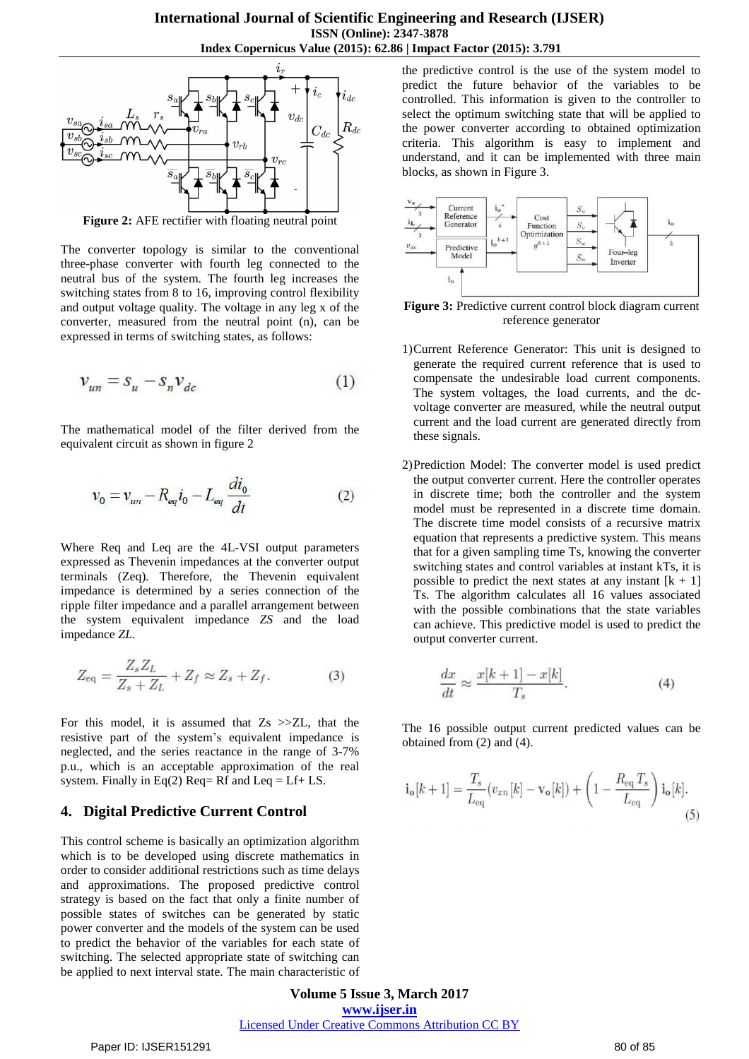

**Figure 2:** AFE rectifier with floating neutral point

The converter topology is similar to the conventional three-phase converter with fourth leg connected to the neutral bus of the system. The fourth leg increases the switching states from 8 to 16, improving control flexibility and output voltage quality. The voltage in any leg x of the converter, measured from the neutral point (n), can be expressed in terms of switching states, as follows:

$$
v_{un} = s_u - s_n v_{dc} \tag{1}
$$

The mathematical model of the filter derived from the equivalent circuit as shown in figure 2

$$
v_0 = v_{un} - R_{eq} i_0 - L_{eq} \frac{di_0}{dt}
$$
 (2)

Where Req and Leq are the 4L-VSI output parameters expressed as Thevenin impedances at the converter output terminals (Zeq)*.* Therefore, the Thevenin equivalent impedance is determined by a series connection of the ripple filter impedance and a parallel arrangement between the system equivalent impedance *ZS* and the load impedance *ZL.*

$$
Z_{\text{eq}} = \frac{Z_s Z_L}{Z_s + Z_L} + Z_f \approx Z_s + Z_f. \tag{3}
$$

For this model, it is assumed that  $Z_s \gg ZL$ , that the resistive part of the system's equivalent impedance is neglected, and the series reactance in the range of 3-7% p.u., which is an acceptable approximation of the real system. Finally in Eq(2) Req = Rf and Leq = Lf + LS.

## **4. Digital Predictive Current Control**

This control scheme is basically an optimization algorithm which is to be developed using discrete mathematics in order to consider additional restrictions such as time delays and approximations. The proposed predictive control strategy is based on the fact that only a finite number of possible states of switches can be generated by static power converter and the models of the system can be used to predict the behavior of the variables for each state of switching. The selected appropriate state of switching can be applied to next interval state. The main characteristic of the predictive control is the use of the system model to predict the future behavior of the variables to be controlled. This information is given to the controller to select the optimum switching state that will be applied to the power converter according to obtained optimization criteria. This algorithm is easy to implement and understand, and it can be implemented with three main blocks, as shown in Figure 3.



**Figure 3:** Predictive current control block diagram current reference generator

- 1)Current Reference Generator: This unit is designed to generate the required current reference that is used to compensate the undesirable load current components. The system voltages, the load currents, and the dcvoltage converter are measured, while the neutral output current and the load current are generated directly from these signals.
- 2)Prediction Model: The converter model is used predict the output converter current. Here the controller operates in discrete time; both the controller and the system model must be represented in a discrete time domain. The discrete time model consists of a recursive matrix equation that represents a predictive system. This means that for a given sampling time Ts, knowing the converter switching states and control variables at instant kTs, it is possible to predict the next states at any instant  $[k + 1]$ Ts. The algorithm calculates all 16 values associated with the possible combinations that the state variables can achieve. This predictive model is used to predict the output converter current.

$$
\frac{dx}{dt} \approx \frac{x[k+1] - x[k]}{T_s}.\tag{4}
$$

The 16 possible output current predicted values can be obtained from (2) and (4).

$$
\mathbf{i}_{\mathbf{o}}[k+1] = \frac{T_s}{L_{\text{eq}}} (v_{xn}[k] - \mathbf{v}_{\mathbf{o}}[k]) + \left(1 - \frac{R_{\text{eq}} T_s}{L_{\text{eq}}}\right) \mathbf{i}_{\mathbf{o}}[k].
$$
\n(5)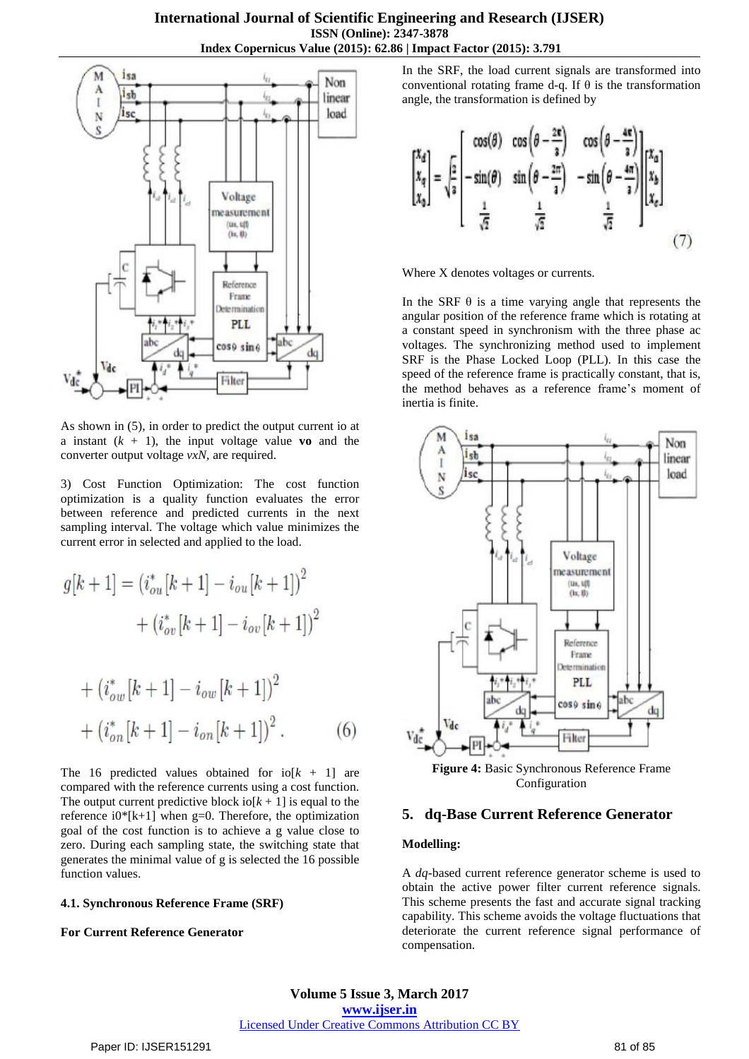

As shown in (5), in order to predict the output current io at a instant  $(k + 1)$ , the input voltage value **vo** and the converter output voltage *vxN,* are required.

3) Cost Function Optimization: The cost function optimization is a quality function evaluates the error between reference and predicted currents in the next sampling interval. The voltage which value minimizes the current error in selected and applied to the load.

$$
g[k+1] = (i_{ou}^*[k+1] - i_{ou}[k+1])^2
$$

$$
+ (i_{ov}^*[k+1] - i_{ov}[k+1])^2
$$

$$
+ (i_{ow}^*[k+1] - i_{ow}[k+1])^2
$$

$$
+ (ion* [k+1] - ion [k+1])2.
$$
 (6)

The 16 predicted values obtained for  $i\sigma[k + 1]$  are compared with the reference currents using a cost function. The output current predictive block io[ $k + 1$ ] is equal to the reference  $i0*[k+1]$  when g=0. Therefore, the optimization goal of the cost function is to achieve a g value close to zero. During each sampling state, the switching state that generates the minimal value of g is selected the 16 possible function values.

#### **4.1. Synchronous Reference Frame (SRF)**

#### **For Current Reference Generator**

In the SRF, the load current signals are transformed into conventional rotating frame d-q. If θ is the transformation angle, the transformation is defined by

$$
\begin{bmatrix} x_d \\ x_q \\ x_9 \end{bmatrix} = \sqrt{\frac{2}{3}} \begin{bmatrix} \cos(\theta) & \cos\left(\theta - \frac{2\pi}{3}\right) & \cos\left(\theta - \frac{4\pi}{3}\right) \\ -\sin\left(\theta - \frac{4\pi}{3}\right) & -\sin\left(\theta - \frac{4\pi}{3}\right) \\ \frac{1}{\sqrt{2}} & \frac{1}{\sqrt{2}} & \frac{1}{\sqrt{2}} \end{bmatrix} \begin{bmatrix} x_a \\ x_b \\ x_c \end{bmatrix}
$$
(7)

Where X denotes voltages or currents.

In the SRF  $\theta$  is a time varying angle that represents the angular position of the reference frame which is rotating at a constant speed in synchronism with the three phase ac voltages. The synchronizing method used to implement SRF is the Phase Locked Loop (PLL). In this case the speed of the reference frame is practically constant, that is, the method behaves as a reference frame's moment of inertia is finite.



**Figure 4:** Basic Synchronous Reference Frame Configuration

## **5. dq-Base Current Reference Generator**

#### **Modelling:**

A *dq-*based current reference generator scheme is used to obtain the active power filter current reference signals. This scheme presents the fast and accurate signal tracking capability. This scheme avoids the voltage fluctuations that deteriorate the current reference signal performance of compensation.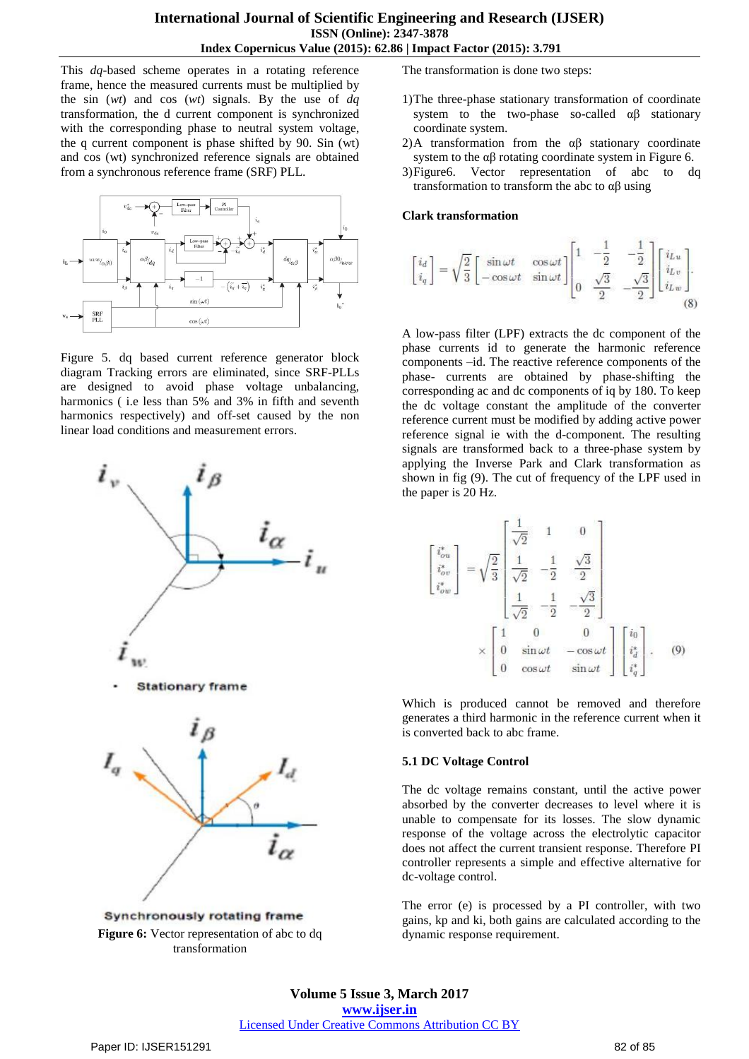This *dq-*based scheme operates in a rotating reference frame, hence the measured currents must be multiplied by the sin (*wt*) and cos (*wt*) signals. By the use of *dq* transformation, the d current component is synchronized with the corresponding phase to neutral system voltage, the q current component is phase shifted by 90. Sin (wt) and cos (wt) synchronized reference signals are obtained from a synchronous reference frame (SRF) PLL.



Figure 5. dq based current reference generator block diagram Tracking errors are eliminated, since SRF-PLLs are designed to avoid phase voltage unbalancing, harmonics ( i.e less than 5% and 3% in fifth and seventh harmonics respectively) and off-set caused by the non linear load conditions and measurement errors.



Synchronously rotating frame **Figure 6:** Vector representation of abc to dq transformation

The transformation is done two steps:

- 1)The three-phase stationary transformation of coordinate system to the two-phase so-called αβ stationary coordinate system.
- 2)A transformation from the  $\alpha\beta$  stationary coordinate system to the  $\alpha\beta$  rotating coordinate system in Figure 6.
- 3)Figure6. Vector representation of abc to dq transformation to transform the abc to αβ using

#### **Clark transformation**

$$
\begin{bmatrix} i_d \\ i_q \end{bmatrix} = \sqrt{\frac{2}{3}} \begin{bmatrix} \sin \omega t & \cos \omega t \\ -\cos \omega t & \sin \omega t \end{bmatrix} \begin{bmatrix} 1 & -\frac{1}{2} & -\frac{1}{2} \\ 0 & \frac{\sqrt{3}}{2} & -\frac{\sqrt{3}}{2} \end{bmatrix} \begin{bmatrix} i_{Lu} \\ i_{Lv} \\ i_{Lw} \end{bmatrix}.
$$
\n(8)

A low-pass filter (LPF) extracts the dc component of the phase currents id to generate the harmonic reference components –id. The reactive reference components of the phase- currents are obtained by phase-shifting the corresponding ac and dc components of iq by 180. To keep the dc voltage constant the amplitude of the converter reference current must be modified by adding active power reference signal ie with the d-component. The resulting signals are transformed back to a three-phase system by applying the Inverse Park and Clark transformation as shown in fig (9). The cut of frequency of the LPF used in the paper is 20 Hz.

$$
\begin{bmatrix}\n i_{ou}^{*} \\
 i_{ov}^{*} \\
 i_{ow}^{*}\n\end{bmatrix} = \sqrt{\frac{2}{3}} \begin{bmatrix}\n\frac{1}{\sqrt{2}} & 1 & 0 \\
\frac{1}{\sqrt{2}} & -\frac{1}{2} & \frac{\sqrt{3}}{2} \\
\frac{1}{\sqrt{2}} & -\frac{1}{2} & -\frac{\sqrt{3}}{2}\n\end{bmatrix}
$$
\n
$$
\times \begin{bmatrix}\n1 & 0 & 0 \\
0 & \sin \omega t & -\cos \omega t \\
0 & \cos \omega t & \sin \omega t\n\end{bmatrix} \begin{bmatrix}\ni_{0} \\
i_{d}^{*} \\
i_{e}^{*}\n\end{bmatrix}.
$$
\n(9)

Which is produced cannot be removed and therefore generates a third harmonic in the reference current when it is converted back to abc frame.

#### **5.1 DC Voltage Control**

The dc voltage remains constant, until the active power absorbed by the converter decreases to level where it is unable to compensate for its losses. The slow dynamic response of the voltage across the electrolytic capacitor does not affect the current transient response. Therefore PI controller represents a simple and effective alternative for dc-voltage control.

The error (e) is processed by a PI controller, with two gains, kp and ki, both gains are calculated according to the dynamic response requirement.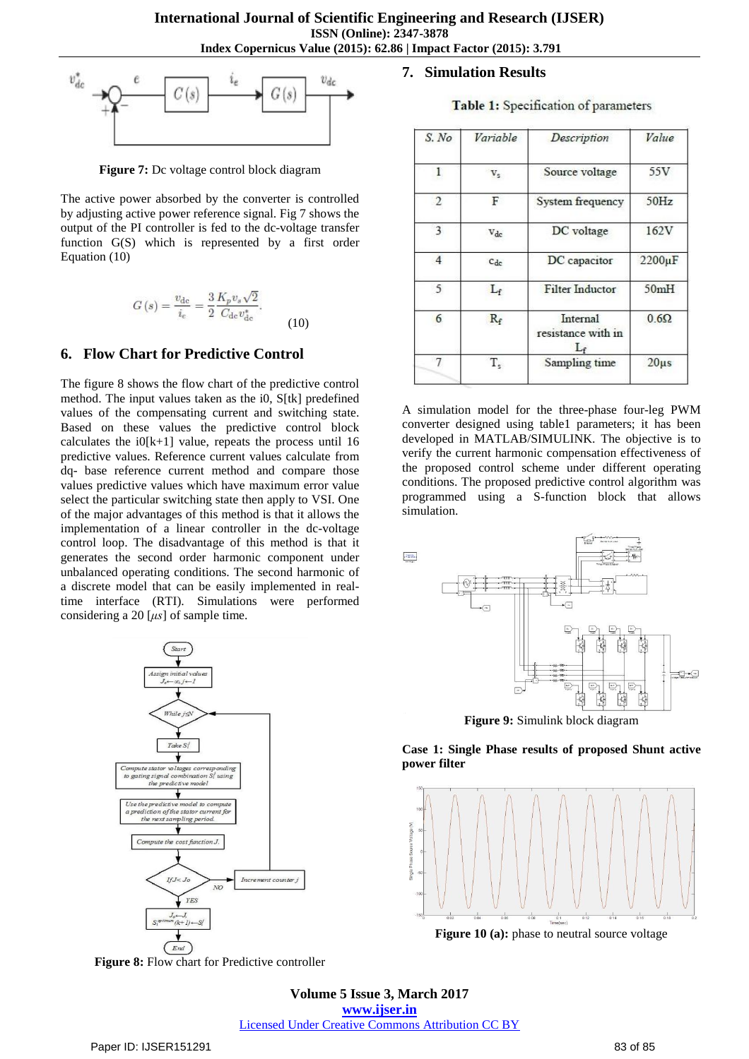

**Figure 7:** Dc voltage control block diagram

The active power absorbed by the converter is controlled by adjusting active power reference signal. Fig 7 shows the output of the PI controller is fed to the dc-voltage transfer function G(S) which is represented by a first order Equation (10)

$$
G(s) = \frac{v_{\rm dc}}{i_e} = \frac{3}{2} \frac{K_p v_s \sqrt{2}}{C_{\rm dc} v_{\rm dc}^*}.
$$
 (10)

## **6. Flow Chart for Predictive Control**

The figure 8 shows the flow chart of the predictive control method. The input values taken as the i0, S[tk] predefined values of the compensating current and switching state. Based on these values the predictive control block calculates the  $i0[k+1]$  value, repeats the process until 16 predictive values. Reference current values calculate from dq- base reference current method and compare those values predictive values which have maximum error value select the particular switching state then apply to VSI. One of the major advantages of this method is that it allows the implementation of a linear controller in the dc-voltage control loop. The disadvantage of this method is that it generates the second order harmonic component under unbalanced operating conditions. The second harmonic of a discrete model that can be easily implemented in realtime interface (RTI). Simulations were performed considering a 20 [*μs*] of sample time.



**Figure 8:** Flow chart for Predictive controller

#### **7. Simulation Results**

Table 1: Specification of parameters

| S. No          | Variable    | Description                             | Value        |
|----------------|-------------|-----------------------------------------|--------------|
| 1              | $V_{S}$     | Source voltage                          | 55V          |
| $\overline{2}$ | F           | System frequency                        | 50Hz         |
| 3              | $V_{dc}$    | DC voltage                              | 162V         |
| $\overline{4}$ | $C_{dc}$    | DC capacitor                            | $2200 \mu F$ |
| 5              | $L_f$       | <b>Filter Inductor</b>                  | 50mH         |
| 6              | $R_f$       | Internal<br>resistance with in<br>$L_f$ | $0.6\Omega$  |
| 7              | $T_{\rm s}$ | Sampling time                           | $20\mu s$    |

A simulation model for the three-phase four-leg PWM converter designed using table1 parameters; it has been developed in MATLAB/SIMULINK. The objective is to verify the current harmonic compensation effectiveness of the proposed control scheme under different operating conditions. The proposed predictive control algorithm was programmed using a S-function block that allows simulation.



**Figure 9:** Simulink block diagram

**Case 1: Single Phase results of proposed Shunt active power filter**



**Figure 10 (a):** phase to neutral source voltage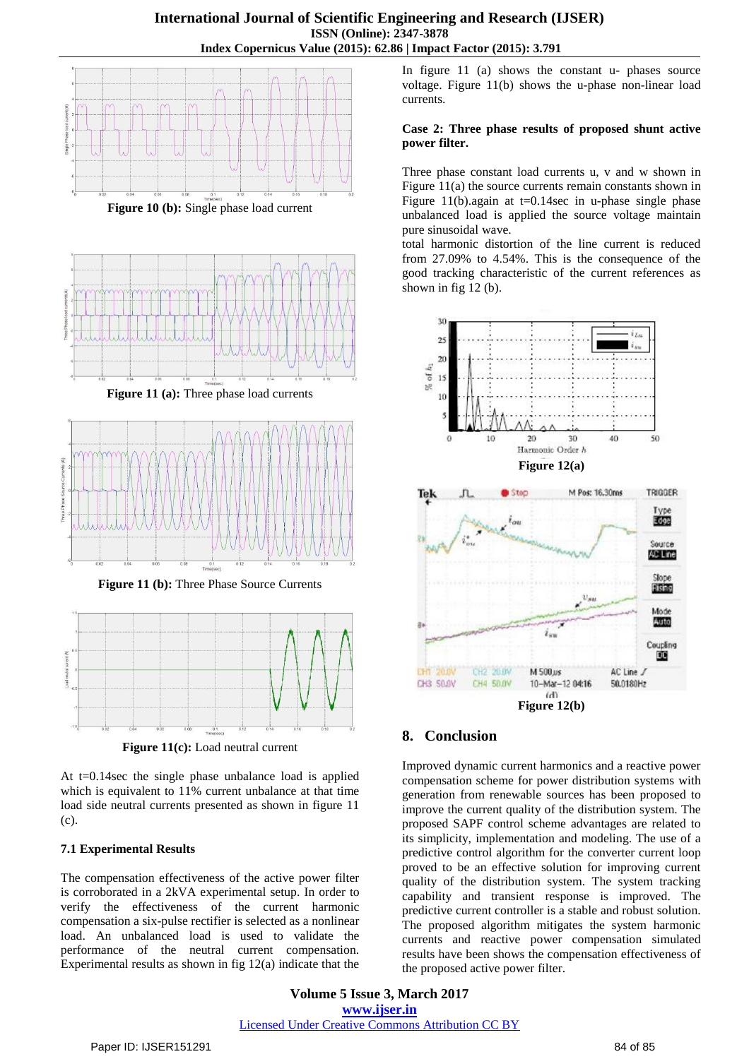

**Figure 10 (b):** Single phase load current





**Figure 11 (b):** Three Phase Source Currents



Figure 11(c): Load neutral current

At t=0.14sec the single phase unbalance load is applied which is equivalent to 11% current unbalance at that time load side neutral currents presented as shown in figure 11 (c).

## **7.1 Experimental Results**

The compensation effectiveness of the active power filter is corroborated in a 2kVA experimental setup. In order to verify the effectiveness of the current harmonic compensation a six-pulse rectifier is selected as a nonlinear load. An unbalanced load is used to validate the performance of the neutral current compensation. Experimental results as shown in fig 12(a) indicate that the

In figure 11 (a) shows the constant u- phases source voltage. Figure 11(b) shows the u-phase non-linear load currents.

## **Case 2: Three phase results of proposed shunt active power filter.**

Three phase constant load currents u, v and w shown in Figure 11(a) the source currents remain constants shown in Figure 11(b).again at  $t=0.14$  sec in u-phase single phase unbalanced load is applied the source voltage maintain pure sinusoidal wave.

total harmonic distortion of the line current is reduced from 27.09% to 4.54%. This is the consequence of the good tracking characteristic of the current references as shown in fig 12 (b).



# **8. Conclusion**

Improved dynamic current harmonics and a reactive power compensation scheme for power distribution systems with generation from renewable sources has been proposed to improve the current quality of the distribution system. The proposed SAPF control scheme advantages are related to its simplicity, implementation and modeling. The use of a predictive control algorithm for the converter current loop proved to be an effective solution for improving current quality of the distribution system. The system tracking capability and transient response is improved. The predictive current controller is a stable and robust solution. The proposed algorithm mitigates the system harmonic currents and reactive power compensation simulated results have been shows the compensation effectiveness of the proposed active power filter.